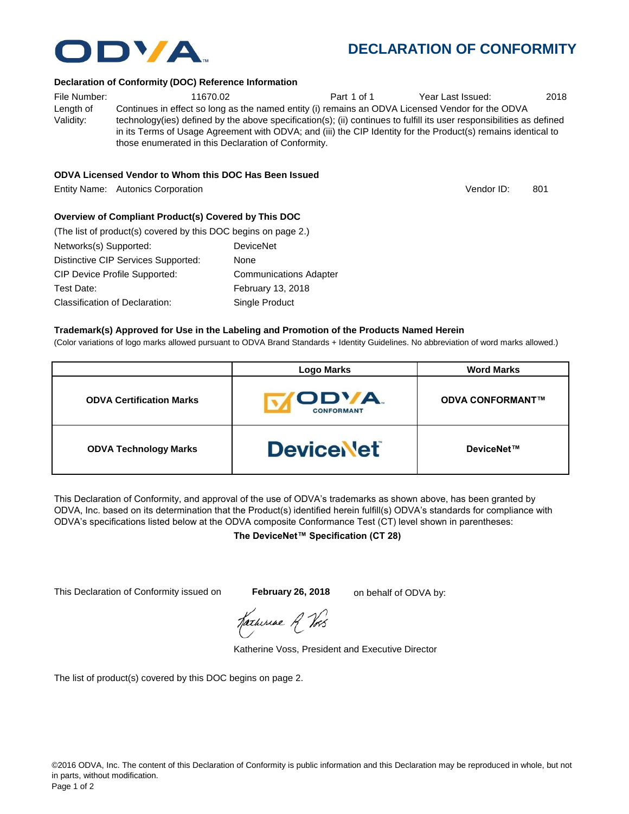

#### **Declaration of Conformity (DOC) Reference Information**

File Number:  $11670.02$  Part 1 of 1 Year Last Issued: 2018 Length of Validity: Continues in effect so long as the named entity (i) remains an ODVA Licensed Vendor for the ODVA technology(ies) defined by the above specification(s); (ii) continues to fulfill its user responsibilities as defined in its Terms of Usage Agreement with ODVA; and (iii) the CIP Identity for the Product(s) remains identical to those enumerated in this Declaration of Conformity.

### **ODVA Licensed Vendor to Whom this DOC Has Been Issued**

Entity Name: Autonics Corporation 801 and the control of the control of the control of the control of the control of the control of the control of the control of the control of the control of the control of the control of

## **Overview of Compliant Product(s) Covered by This DOC**

| (The list of product(s) covered by this DOC begins on page 2.) |                               |
|----------------------------------------------------------------|-------------------------------|
| Networks(s) Supported:                                         | <b>DeviceNet</b>              |
| Distinctive CIP Services Supported:                            | None                          |
| <b>CIP Device Profile Supported:</b>                           | <b>Communications Adapter</b> |
| Test Date:                                                     | February 13, 2018             |
| Classification of Declaration:                                 | Single Product                |

#### **Trademark(s) Approved for Use in the Labeling and Promotion of the Products Named Herein**

(Color variations of logo marks allowed pursuant to ODVA Brand Standards + Identity Guidelines. No abbreviation of word marks allowed.)

|                                 | <b>Logo Marks</b>                | <b>Word Marks</b>       |
|---------------------------------|----------------------------------|-------------------------|
| <b>ODVA Certification Marks</b> | <b>ODVA</b><br><b>CONFORMANT</b> | <b>ODVA CONFORMANT™</b> |
| <b>ODVA Technology Marks</b>    | <b>DeviceNet</b>                 | DeviceNet™              |

This Declaration of Conformity, and approval of the use of ODVA's trademarks as shown above, has been granted by ODVA, Inc. based on its determination that the Product(s) identified herein fulfill(s) ODVA's standards for compliance with ODVA's specifications listed below at the ODVA composite Conformance Test (CT) level shown in parentheses:

#### **The DeviceNet™ Specification (CT 28)**

This Declaration of Conformity issued on **February 26, 2018** on behalf of ODVA by:

Harburae A Vos

Katherine Voss, President and Executive Director

The list of product(s) covered by this DOC begins on page 2.



Vendor ID: